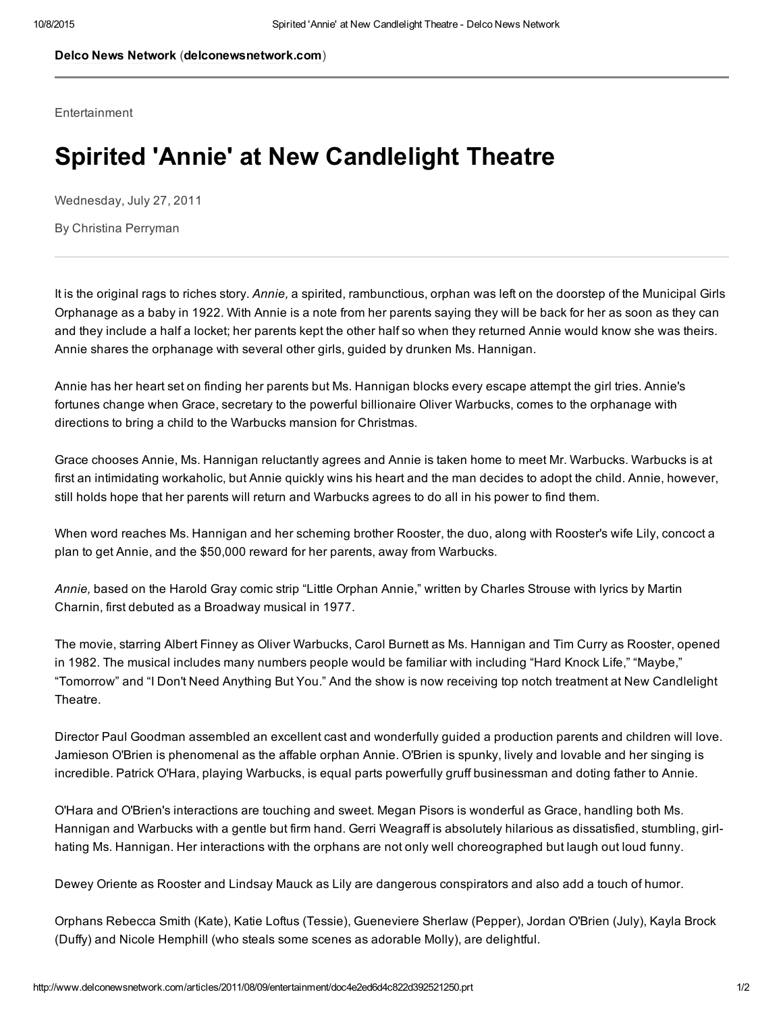Delco News [Network](http://www.delconewsnetwork.com/) ([delconewsnetwork.com\)](http://www.delconewsnetwork.com/)

**Entertainment** 

## Spirited 'Annie' at New Candlelight Theatre

Wednesday, July 27, 2011

By Christina Perryman

It is the original rags to riches story. *Annie,* a spirited, rambunctious, orphan was left on the doorstep of the Municipal Girls Orphanage as a baby in 1922. With Annie is a note from her parents saying they will be back for her as soon as they can and they include a half a locket; her parents kept the other half so when they returned Annie would know she was theirs. Annie shares the orphanage with several other girls, guided by drunken Ms. Hannigan.

Annie has her heart set on finding her parents but Ms. Hannigan blocks every escape attempt the girl tries. Annie's fortunes change when Grace, secretary to the powerful billionaire Oliver Warbucks, comes to the orphanage with directions to bring a child to the Warbucks mansion for Christmas.

Grace chooses Annie, Ms. Hannigan reluctantly agrees and Annie is taken home to meet Mr. Warbucks. Warbucks is at first an intimidating workaholic, but Annie quickly wins his heart and the man decides to adopt the child. Annie, however, still holds hope that her parents will return and Warbucks agrees to do all in his power to find them.

When word reaches Ms. Hannigan and her scheming brother Rooster, the duo, along with Rooster's wife Lily, concoct a plan to get Annie, and the \$50,000 reward for her parents, away from Warbucks.

*Annie,* based on the Harold Gray comic strip "Little Orphan Annie," written by Charles Strouse with lyrics by Martin Charnin, first debuted as a Broadway musical in 1977.

The movie, starring Albert Finney as Oliver Warbucks, Carol Burnett as Ms. Hannigan and Tim Curry as Rooster, opened in 1982. The musical includes many numbers people would be familiar with including "Hard Knock Life," "Maybe," "Tomorrow" and "I Don't Need Anything But You." And the show is now receiving top notch treatment at New Candlelight Theatre.

Director Paul Goodman assembled an excellent cast and wonderfully guided a production parents and children will love. Jamieson O'Brien is phenomenal as the affable orphan Annie. O'Brien is spunky, lively and lovable and her singing is incredible. Patrick O'Hara, playing Warbucks, is equal parts powerfully gruff businessman and doting father to Annie.

O'Hara and O'Brien's interactions are touching and sweet. Megan Pisors is wonderful as Grace, handling both Ms. Hannigan and Warbucks with a gentle but firm hand. Gerri Weagraff is absolutely hilarious as dissatisfied, stumbling, girlhating Ms. Hannigan. Her interactions with the orphans are not only well choreographed but laugh out loud funny.

Dewey Oriente as Rooster and Lindsay Mauck as Lily are dangerous conspirators and also add a touch of humor.

Orphans Rebecca Smith (Kate), Katie Loftus (Tessie), Gueneviere Sherlaw (Pepper), Jordan O'Brien (July), Kayla Brock (Duffy) and Nicole Hemphill (who steals some scenes as adorable Molly), are delightful.